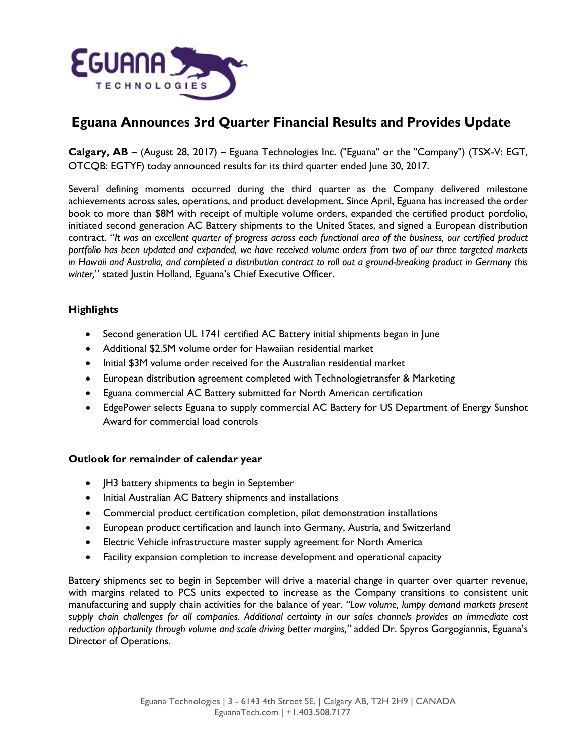

# **Eguana Announces 3rd Quarter Financial Results and Provides Update**

**Calgary, AB** – (August 28, 2017) – Eguana Technologies Inc. ("Eguana" or the "Company") (TSX-V: EGT, OTCQB: EGTYF) today announced results for its third quarter ended June 30, 2017.

Several defining moments occurred during the third quarter as the Company delivered milestone achievements across sales, operations, and product development. Since April, Eguana has increased the order book to more than \$8M with receipt of multiple volume orders, expanded the certified product portfolio, initiated second generation AC Battery shipments to the United States, and signed a European distribution contract. "*It was an excellent quarter of progress across each functional area of the business, our certified product portfolio has been updated and expanded, we have received volume orders from two of our three targeted markets in Hawaii and Australia, and completed a distribution contract to roll out a ground-breaking product in Germany this winter,*" stated Justin Holland, Eguana's Chief Executive Officer.

## **Highlights**

- Second generation UL 1741 certified AC Battery initial shipments began in June
- Additional \$2.5M volume order for Hawaiian residential market
- Initial \$3M volume order received for the Australian residential market
- European distribution agreement completed with Technologietransfer & Marketing
- Eguana commercial AC Battery submitted for North American certification
- EdgePower selects Eguana to supply commercial AC Battery for US Department of Energy Sunshot Award for commercial load controls

### **Outlook for remainder of calendar year**

- JH3 battery shipments to begin in September
- Initial Australian AC Battery shipments and installations
- Commercial product certification completion, pilot demonstration installations
- European product certification and launch into Germany, Austria, and Switzerland
- Electric Vehicle infrastructure master supply agreement for North America
- Facility expansion completion to increase development and operational capacity

Battery shipments set to begin in September will drive a material change in quarter over quarter revenue, with margins related to PCS units expected to increase as the Company transitions to consistent unit manufacturing and supply chain activities for the balance of year. *"Low volume, lumpy demand markets present supply chain challenges for all companies. Additional certainty in our sales channels provides an immediate cost reduction opportunity through volume and scale driving better margins,"* added Dr. Spyros Gorgogiannis, Eguana's Director of Operations.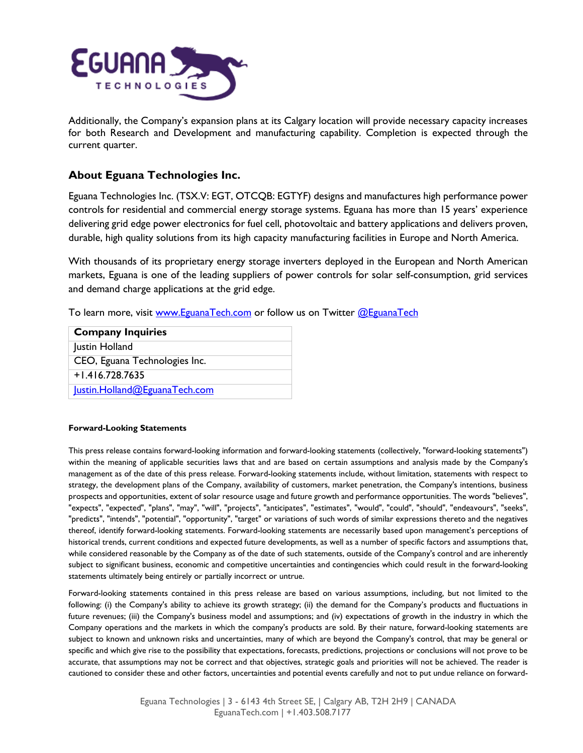

Additionally, the Company's expansion plans at its Calgary location will provide necessary capacity increases for both Research and Development and manufacturing capability. Completion is expected through the current quarter.

## **About Eguana Technologies Inc.**

Eguana Technologies Inc. (TSX.V: EGT, OTCQB: EGTYF) designs and manufactures high performance power controls for residential and commercial energy storage systems. Eguana has more than 15 years' experience delivering grid edge power electronics for fuel cell, photovoltaic and battery applications and delivers proven, durable, high quality solutions from its high capacity manufacturing facilities in Europe and North America.

With thousands of its proprietary energy storage inverters deployed in the European and North American markets, Eguana is one of the leading suppliers of power controls for solar self-consumption, grid services and demand charge applications at the grid edge.

To learn more, visit [www.EguanaTech.com](http://www.eguanatech.com/) or follow us on Twitter [@EguanaTech](https://twitter.com/EguanaTech)

| <b>Company Inquiries</b>      |
|-------------------------------|
| Justin Holland                |
| CEO, Eguana Technologies Inc. |
| $+1.416.728.7635$             |
| lustin.Holland@EguanaTech.com |

#### **Forward-Looking Statements**

This press release contains forward-looking information and forward-looking statements (collectively, "forward-looking statements") within the meaning of applicable securities laws that and are based on certain assumptions and analysis made by the Company's management as of the date of this press release. Forward-looking statements include, without limitation, statements with respect to strategy, the development plans of the Company, availability of customers, market penetration, the Company's intentions, business prospects and opportunities, extent of solar resource usage and future growth and performance opportunities. The words "believes", "expects", "expected", "plans", "may", "will", "projects", "anticipates", "estimates", "would", "could", "should", "endeavours", "seeks", "predicts", "intends", "potential", "opportunity", "target" or variations of such words of similar expressions thereto and the negatives thereof, identify forward-looking statements. Forward-looking statements are necessarily based upon management's perceptions of historical trends, current conditions and expected future developments, as well as a number of specific factors and assumptions that, while considered reasonable by the Company as of the date of such statements, outside of the Company's control and are inherently subject to significant business, economic and competitive uncertainties and contingencies which could result in the forward-looking statements ultimately being entirely or partially incorrect or untrue.

Forward-looking statements contained in this press release are based on various assumptions, including, but not limited to the following: (i) the Company's ability to achieve its growth strategy; (ii) the demand for the Company's products and fluctuations in future revenues; (iii) the Company's business model and assumptions; and (iv) expectations of growth in the industry in which the Company operations and the markets in which the company's products are sold. By their nature, forward-looking statements are subject to known and unknown risks and uncertainties, many of which are beyond the Company's control, that may be general or specific and which give rise to the possibility that expectations, forecasts, predictions, projections or conclusions will not prove to be accurate, that assumptions may not be correct and that objectives, strategic goals and priorities will not be achieved. The reader is cautioned to consider these and other factors, uncertainties and potential events carefully and not to put undue reliance on forward-